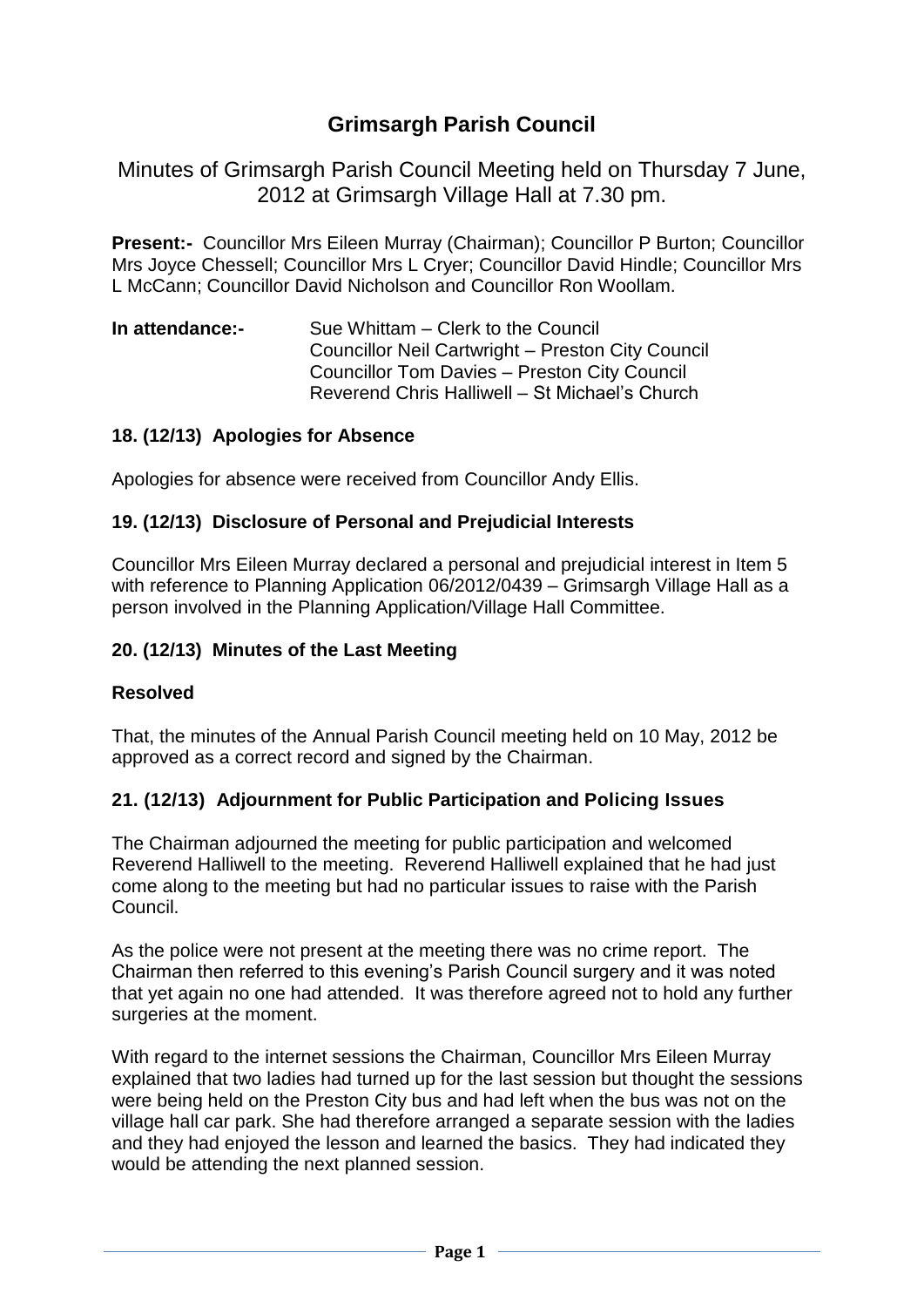# **Grimsargh Parish Council**

Minutes of Grimsargh Parish Council Meeting held on Thursday 7 June, 2012 at Grimsargh Village Hall at 7.30 pm.

**Present:-** Councillor Mrs Eileen Murray (Chairman); Councillor P Burton; Councillor Mrs Joyce Chessell; Councillor Mrs L Cryer; Councillor David Hindle; Councillor Mrs L McCann; Councillor David Nicholson and Councillor Ron Woollam.

**In attendance:-** Sue Whittam – Clerk to the Council Councillor Neil Cartwright – Preston City Council Councillor Tom Davies – Preston City Council Reverend Chris Halliwell – St Michael's Church

#### **18. (12/13) Apologies for Absence**

Apologies for absence were received from Councillor Andy Ellis.

#### **19. (12/13) Disclosure of Personal and Prejudicial Interests**

Councillor Mrs Eileen Murray declared a personal and prejudicial interest in Item 5 with reference to Planning Application 06/2012/0439 – Grimsargh Village Hall as a person involved in the Planning Application/Village Hall Committee.

#### **20. (12/13) Minutes of the Last Meeting**

#### **Resolved**

That, the minutes of the Annual Parish Council meeting held on 10 May, 2012 be approved as a correct record and signed by the Chairman.

#### **21. (12/13) Adjournment for Public Participation and Policing Issues**

The Chairman adjourned the meeting for public participation and welcomed Reverend Halliwell to the meeting. Reverend Halliwell explained that he had just come along to the meeting but had no particular issues to raise with the Parish Council.

As the police were not present at the meeting there was no crime report. The Chairman then referred to this evening's Parish Council surgery and it was noted that yet again no one had attended. It was therefore agreed not to hold any further surgeries at the moment.

With regard to the internet sessions the Chairman, Councillor Mrs Eileen Murray explained that two ladies had turned up for the last session but thought the sessions were being held on the Preston City bus and had left when the bus was not on the village hall car park. She had therefore arranged a separate session with the ladies and they had enjoyed the lesson and learned the basics. They had indicated they would be attending the next planned session.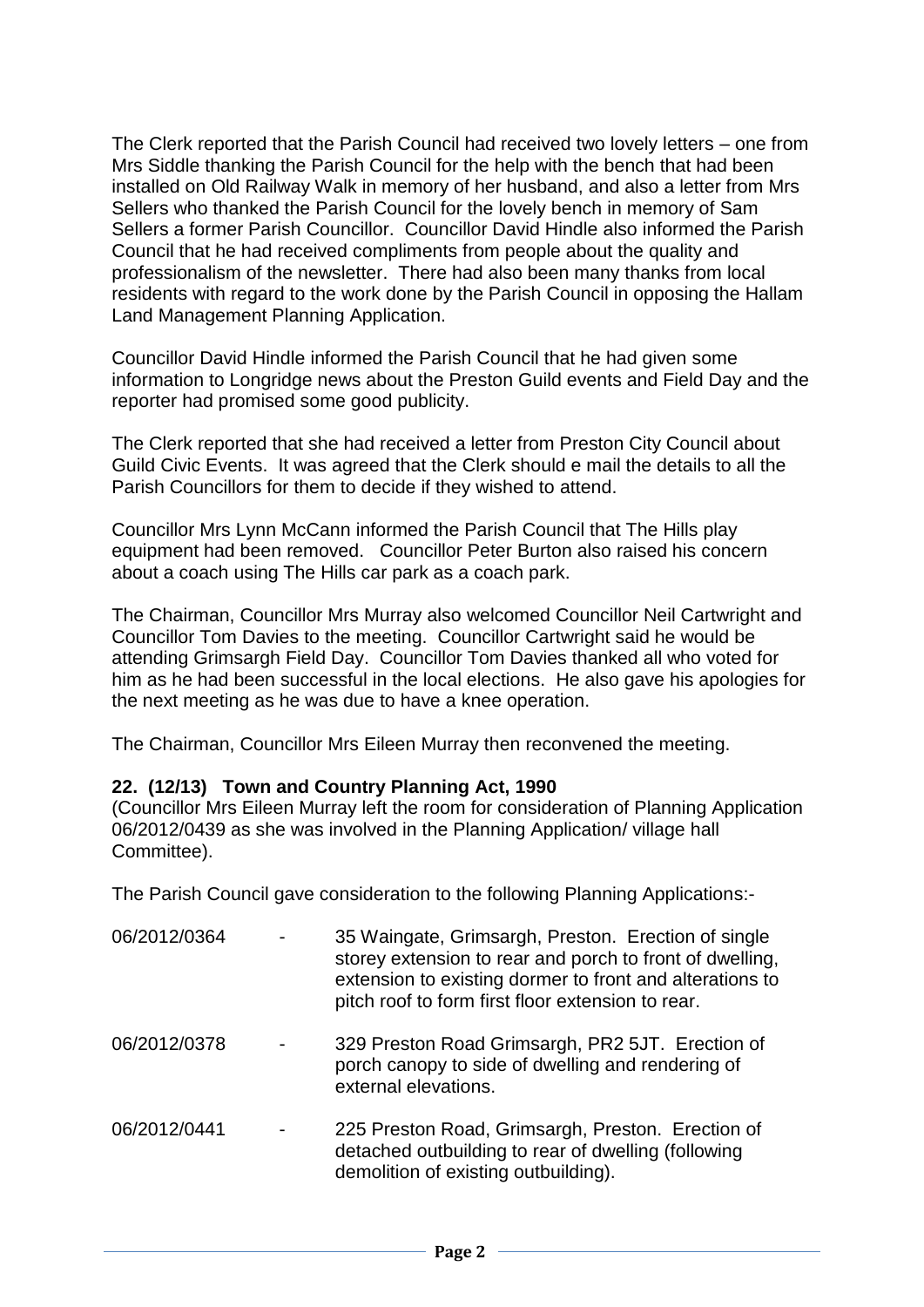The Clerk reported that the Parish Council had received two lovely letters – one from Mrs Siddle thanking the Parish Council for the help with the bench that had been installed on Old Railway Walk in memory of her husband, and also a letter from Mrs Sellers who thanked the Parish Council for the lovely bench in memory of Sam Sellers a former Parish Councillor. Councillor David Hindle also informed the Parish Council that he had received compliments from people about the quality and professionalism of the newsletter. There had also been many thanks from local residents with regard to the work done by the Parish Council in opposing the Hallam Land Management Planning Application.

Councillor David Hindle informed the Parish Council that he had given some information to Longridge news about the Preston Guild events and Field Day and the reporter had promised some good publicity.

The Clerk reported that she had received a letter from Preston City Council about Guild Civic Events. It was agreed that the Clerk should e mail the details to all the Parish Councillors for them to decide if they wished to attend.

Councillor Mrs Lynn McCann informed the Parish Council that The Hills play equipment had been removed. Councillor Peter Burton also raised his concern about a coach using The Hills car park as a coach park.

The Chairman, Councillor Mrs Murray also welcomed Councillor Neil Cartwright and Councillor Tom Davies to the meeting. Councillor Cartwright said he would be attending Grimsargh Field Day. Councillor Tom Davies thanked all who voted for him as he had been successful in the local elections. He also gave his apologies for the next meeting as he was due to have a knee operation.

The Chairman, Councillor Mrs Eileen Murray then reconvened the meeting.

#### **22. (12/13) Town and Country Planning Act, 1990**

(Councillor Mrs Eileen Murray left the room for consideration of Planning Application 06/2012/0439 as she was involved in the Planning Application/ village hall Committee).

The Parish Council gave consideration to the following Planning Applications:-

| 06/2012/0364 | 35 Waingate, Grimsargh, Preston. Erection of single<br>storey extension to rear and porch to front of dwelling,<br>extension to existing dormer to front and alterations to<br>pitch roof to form first floor extension to rear. |
|--------------|----------------------------------------------------------------------------------------------------------------------------------------------------------------------------------------------------------------------------------|
| 06/2012/0378 | 329 Preston Road Grimsargh, PR2 5JT. Erection of<br>porch canopy to side of dwelling and rendering of<br>external elevations.                                                                                                    |
| 06/2012/0441 | 225 Preston Road, Grimsargh, Preston. Erection of<br>detached outbuilding to rear of dwelling (following<br>demolition of existing outbuilding).                                                                                 |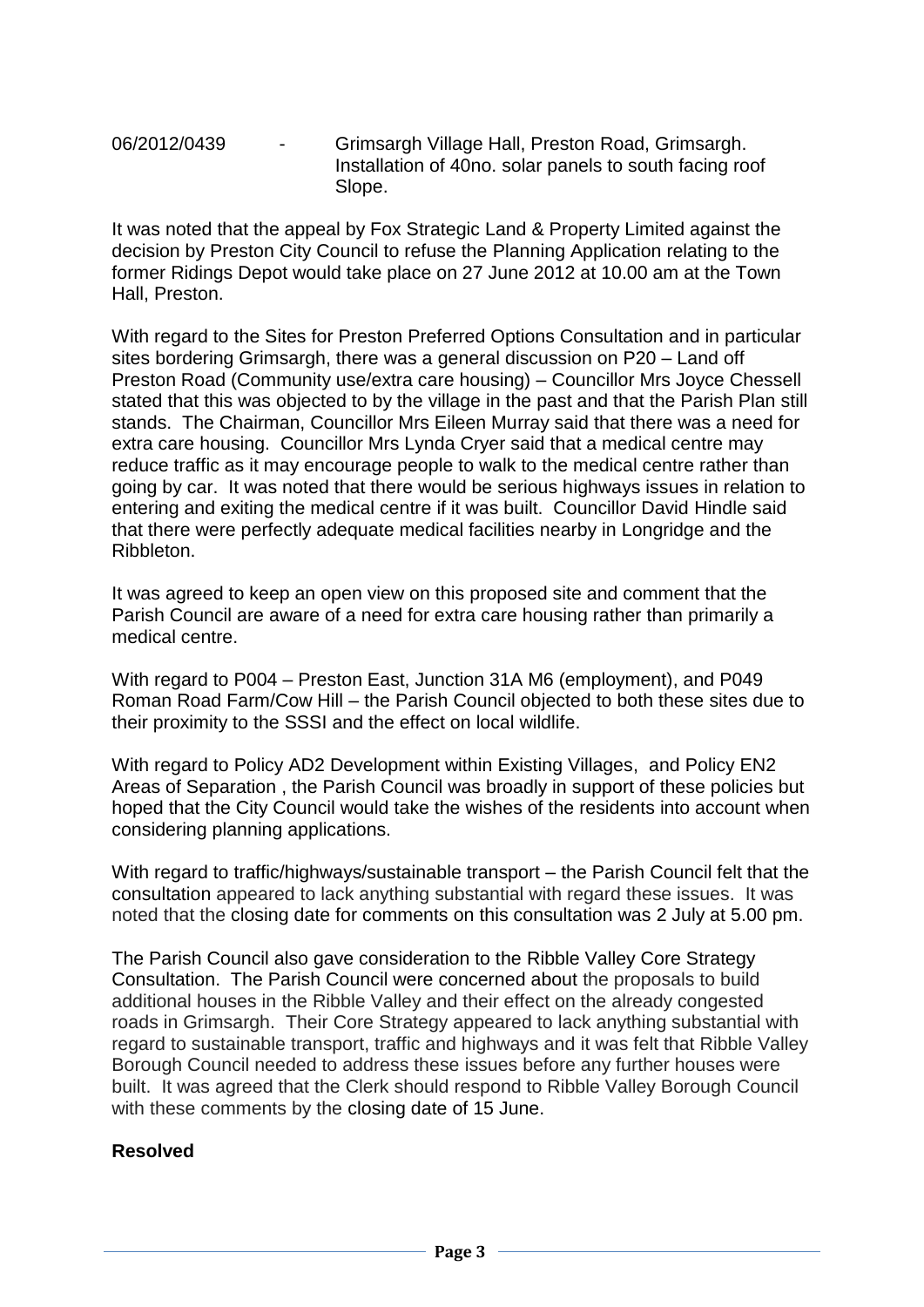06/2012/0439 - Grimsargh Village Hall, Preston Road, Grimsargh. Installation of 40no. solar panels to south facing roof Slope.

It was noted that the appeal by Fox Strategic Land & Property Limited against the decision by Preston City Council to refuse the Planning Application relating to the former Ridings Depot would take place on 27 June 2012 at 10.00 am at the Town Hall, Preston.

With regard to the Sites for Preston Preferred Options Consultation and in particular sites bordering Grimsargh, there was a general discussion on P20 – Land off Preston Road (Community use/extra care housing) – Councillor Mrs Joyce Chessell stated that this was objected to by the village in the past and that the Parish Plan still stands. The Chairman, Councillor Mrs Eileen Murray said that there was a need for extra care housing. Councillor Mrs Lynda Cryer said that a medical centre may reduce traffic as it may encourage people to walk to the medical centre rather than going by car. It was noted that there would be serious highways issues in relation to entering and exiting the medical centre if it was built. Councillor David Hindle said that there were perfectly adequate medical facilities nearby in Longridge and the Ribbleton.

It was agreed to keep an open view on this proposed site and comment that the Parish Council are aware of a need for extra care housing rather than primarily a medical centre.

With regard to P004 – Preston East, Junction 31A M6 (employment), and P049 Roman Road Farm/Cow Hill – the Parish Council objected to both these sites due to their proximity to the SSSI and the effect on local wildlife.

With regard to Policy AD2 Development within Existing Villages, and Policy EN2 Areas of Separation , the Parish Council was broadly in support of these policies but hoped that the City Council would take the wishes of the residents into account when considering planning applications.

With regard to traffic/highways/sustainable transport – the Parish Council felt that the consultation appeared to lack anything substantial with regard these issues. It was noted that the closing date for comments on this consultation was 2 July at 5.00 pm.

The Parish Council also gave consideration to the Ribble Valley Core Strategy Consultation. The Parish Council were concerned about the proposals to build additional houses in the Ribble Valley and their effect on the already congested roads in Grimsargh. Their Core Strategy appeared to lack anything substantial with regard to sustainable transport, traffic and highways and it was felt that Ribble Valley Borough Council needed to address these issues before any further houses were built. It was agreed that the Clerk should respond to Ribble Valley Borough Council with these comments by the closing date of 15 June.

#### **Resolved**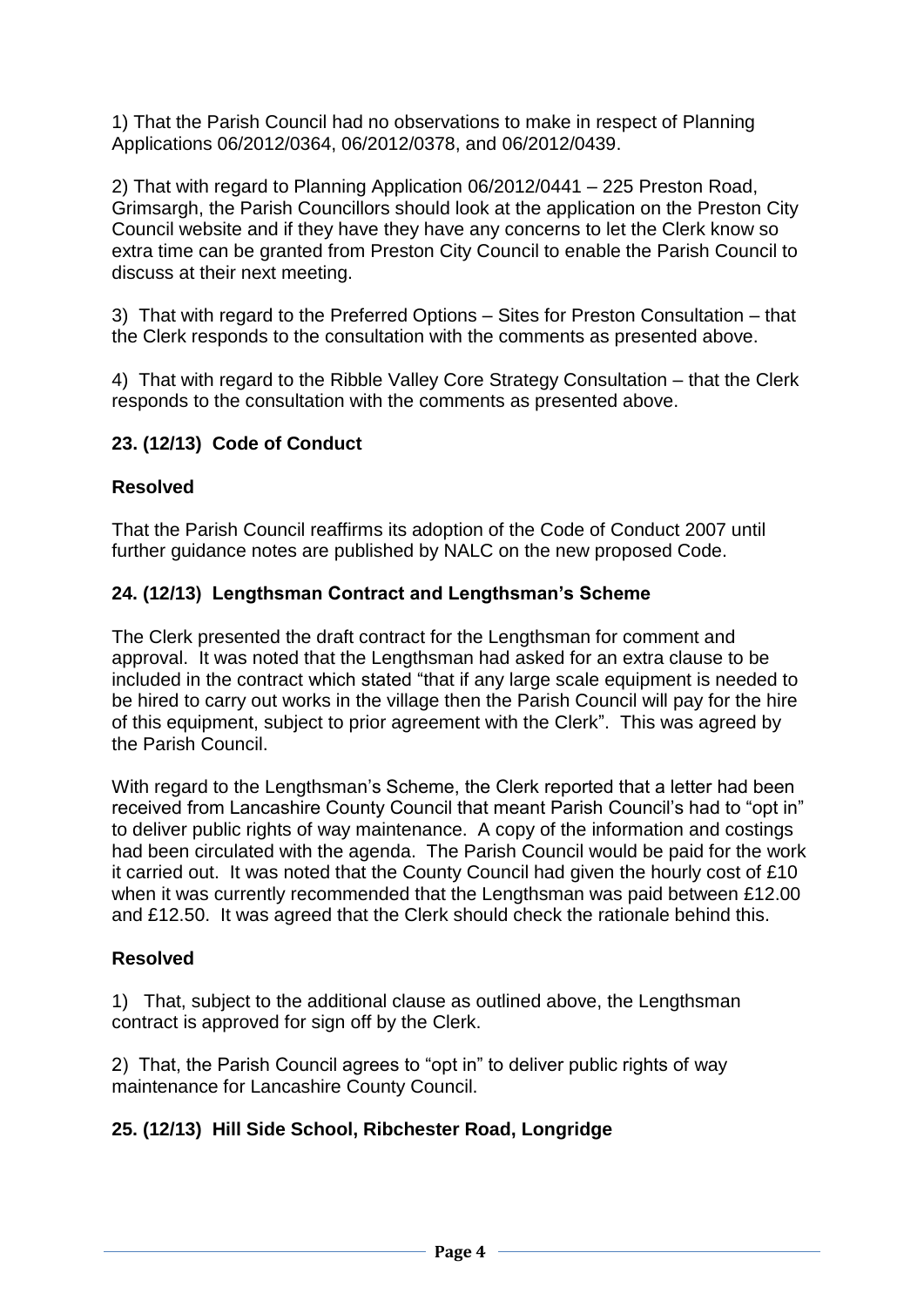1) That the Parish Council had no observations to make in respect of Planning Applications 06/2012/0364, 06/2012/0378, and 06/2012/0439.

2) That with regard to Planning Application 06/2012/0441 – 225 Preston Road, Grimsargh, the Parish Councillors should look at the application on the Preston City Council website and if they have they have any concerns to let the Clerk know so extra time can be granted from Preston City Council to enable the Parish Council to discuss at their next meeting.

3) That with regard to the Preferred Options – Sites for Preston Consultation – that the Clerk responds to the consultation with the comments as presented above.

4) That with regard to the Ribble Valley Core Strategy Consultation – that the Clerk responds to the consultation with the comments as presented above.

# **23. (12/13) Code of Conduct**

### **Resolved**

That the Parish Council reaffirms its adoption of the Code of Conduct 2007 until further guidance notes are published by NALC on the new proposed Code.

#### **24. (12/13) Lengthsman Contract and Lengthsman's Scheme**

The Clerk presented the draft contract for the Lengthsman for comment and approval. It was noted that the Lengthsman had asked for an extra clause to be included in the contract which stated "that if any large scale equipment is needed to be hired to carry out works in the village then the Parish Council will pay for the hire of this equipment, subject to prior agreement with the Clerk". This was agreed by the Parish Council.

With regard to the Lengthsman's Scheme, the Clerk reported that a letter had been received from Lancashire County Council that meant Parish Council's had to "opt in" to deliver public rights of way maintenance. A copy of the information and costings had been circulated with the agenda. The Parish Council would be paid for the work it carried out. It was noted that the County Council had given the hourly cost of £10 when it was currently recommended that the Lengthsman was paid between £12.00 and £12.50. It was agreed that the Clerk should check the rationale behind this.

### **Resolved**

1) That, subject to the additional clause as outlined above, the Lengthsman contract is approved for sign off by the Clerk.

2) That, the Parish Council agrees to "opt in" to deliver public rights of way maintenance for Lancashire County Council.

### **25. (12/13) Hill Side School, Ribchester Road, Longridge**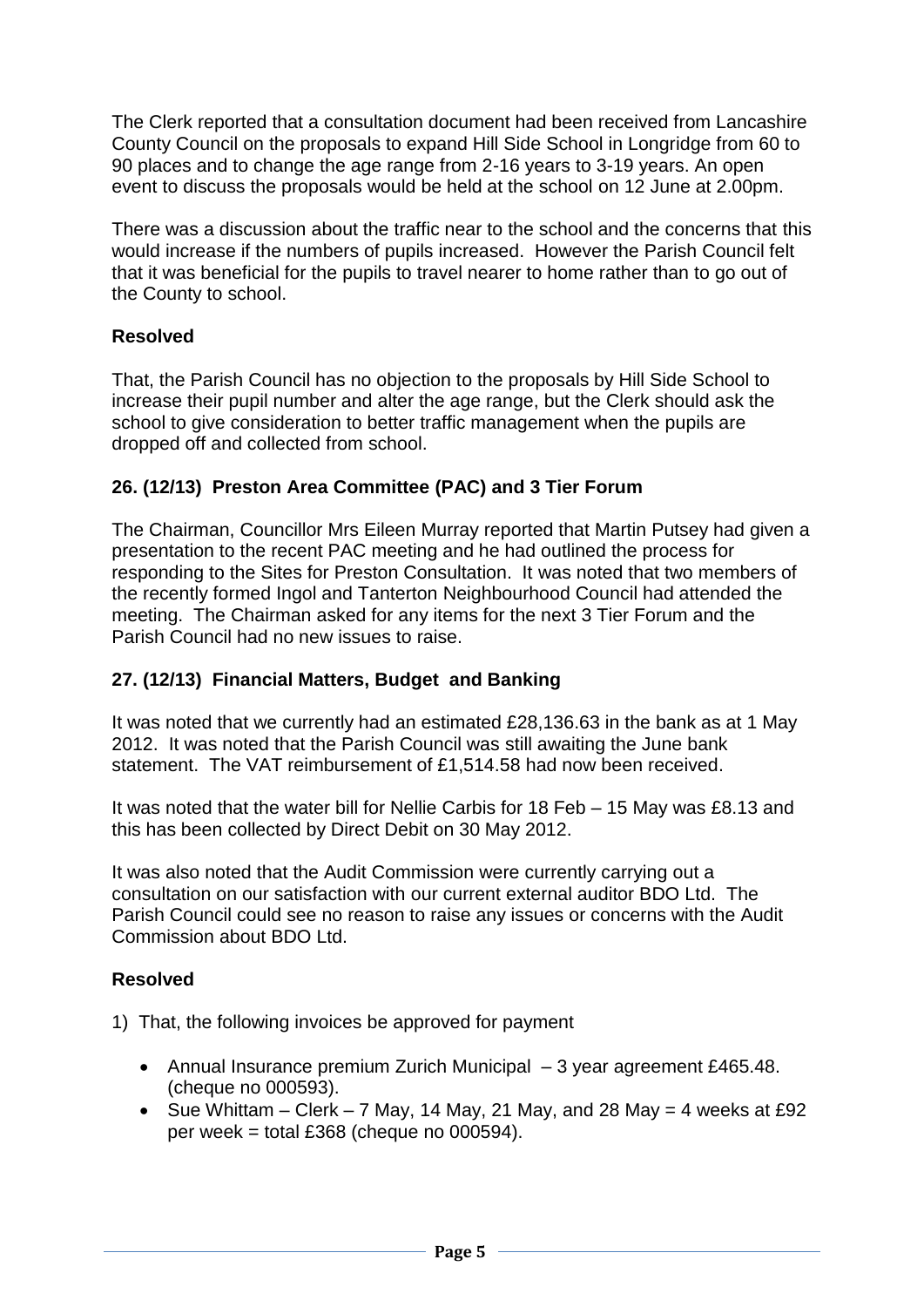The Clerk reported that a consultation document had been received from Lancashire County Council on the proposals to expand Hill Side School in Longridge from 60 to 90 places and to change the age range from 2-16 years to 3-19 years. An open event to discuss the proposals would be held at the school on 12 June at 2.00pm.

There was a discussion about the traffic near to the school and the concerns that this would increase if the numbers of pupils increased. However the Parish Council felt that it was beneficial for the pupils to travel nearer to home rather than to go out of the County to school.

### **Resolved**

That, the Parish Council has no objection to the proposals by Hill Side School to increase their pupil number and alter the age range, but the Clerk should ask the school to give consideration to better traffic management when the pupils are dropped off and collected from school.

### **26. (12/13) Preston Area Committee (PAC) and 3 Tier Forum**

The Chairman, Councillor Mrs Eileen Murray reported that Martin Putsey had given a presentation to the recent PAC meeting and he had outlined the process for responding to the Sites for Preston Consultation. It was noted that two members of the recently formed Ingol and Tanterton Neighbourhood Council had attended the meeting. The Chairman asked for any items for the next 3 Tier Forum and the Parish Council had no new issues to raise.

### **27. (12/13) Financial Matters, Budget and Banking**

It was noted that we currently had an estimated £28,136.63 in the bank as at 1 May 2012. It was noted that the Parish Council was still awaiting the June bank statement. The VAT reimbursement of £1,514.58 had now been received.

It was noted that the water bill for Nellie Carbis for 18 Feb – 15 May was £8.13 and this has been collected by Direct Debit on 30 May 2012.

It was also noted that the Audit Commission were currently carrying out a consultation on our satisfaction with our current external auditor BDO Ltd. The Parish Council could see no reason to raise any issues or concerns with the Audit Commission about BDO Ltd.

### **Resolved**

1) That, the following invoices be approved for payment

- Annual Insurance premium Zurich Municipal  $-3$  year agreement £465.48. (cheque no 000593).
- Sue Whittam Clerk 7 May, 14 May, 21 May, and 28 May = 4 weeks at £92 per week = total £368 (cheque no  $000594$ ).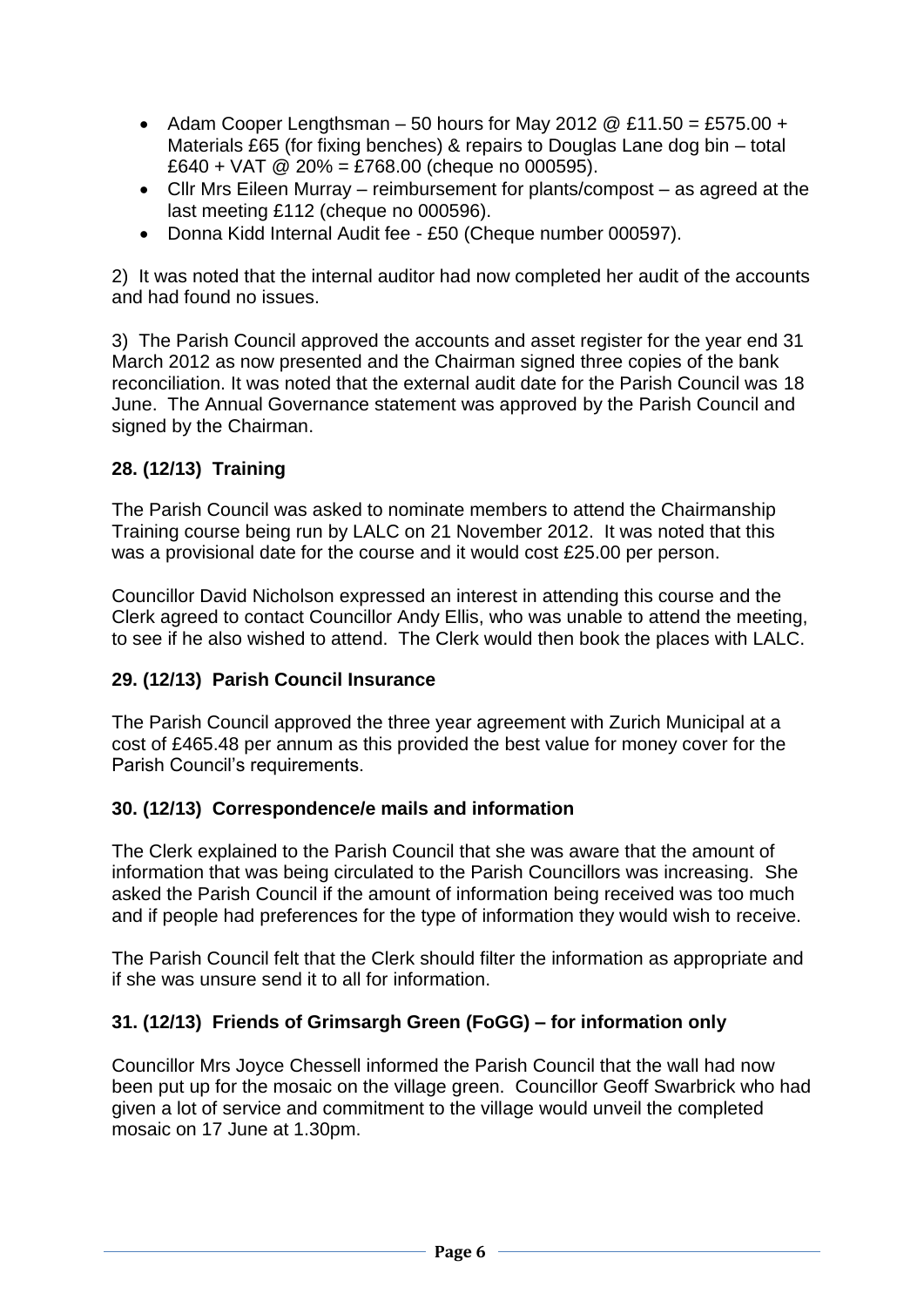- Adam Cooper Lengthsman 50 hours for May 2012  $@E11.50 = £575.00 +$ Materials £65 (for fixing benches) & repairs to Douglas Lane dog bin – total £640 + VAT  $\omega$  20% = £768.00 (cheque no 000595).
- Cllr Mrs Eileen Murray reimbursement for plants/compost as agreed at the last meeting £112 (cheque no 000596).
- Donna Kidd Internal Audit fee £50 (Cheque number 000597).

2) It was noted that the internal auditor had now completed her audit of the accounts and had found no issues.

3) The Parish Council approved the accounts and asset register for the year end 31 March 2012 as now presented and the Chairman signed three copies of the bank reconciliation. It was noted that the external audit date for the Parish Council was 18 June. The Annual Governance statement was approved by the Parish Council and signed by the Chairman.

# **28. (12/13) Training**

The Parish Council was asked to nominate members to attend the Chairmanship Training course being run by LALC on 21 November 2012. It was noted that this was a provisional date for the course and it would cost £25.00 per person.

Councillor David Nicholson expressed an interest in attending this course and the Clerk agreed to contact Councillor Andy Ellis, who was unable to attend the meeting, to see if he also wished to attend. The Clerk would then book the places with LALC.

### **29. (12/13) Parish Council Insurance**

The Parish Council approved the three year agreement with Zurich Municipal at a cost of £465.48 per annum as this provided the best value for money cover for the Parish Council's requirements.

### **30. (12/13) Correspondence/e mails and information**

The Clerk explained to the Parish Council that she was aware that the amount of information that was being circulated to the Parish Councillors was increasing. She asked the Parish Council if the amount of information being received was too much and if people had preferences for the type of information they would wish to receive.

The Parish Council felt that the Clerk should filter the information as appropriate and if she was unsure send it to all for information.

### **31. (12/13) Friends of Grimsargh Green (FoGG) – for information only**

Councillor Mrs Joyce Chessell informed the Parish Council that the wall had now been put up for the mosaic on the village green. Councillor Geoff Swarbrick who had given a lot of service and commitment to the village would unveil the completed mosaic on 17 June at 1.30pm.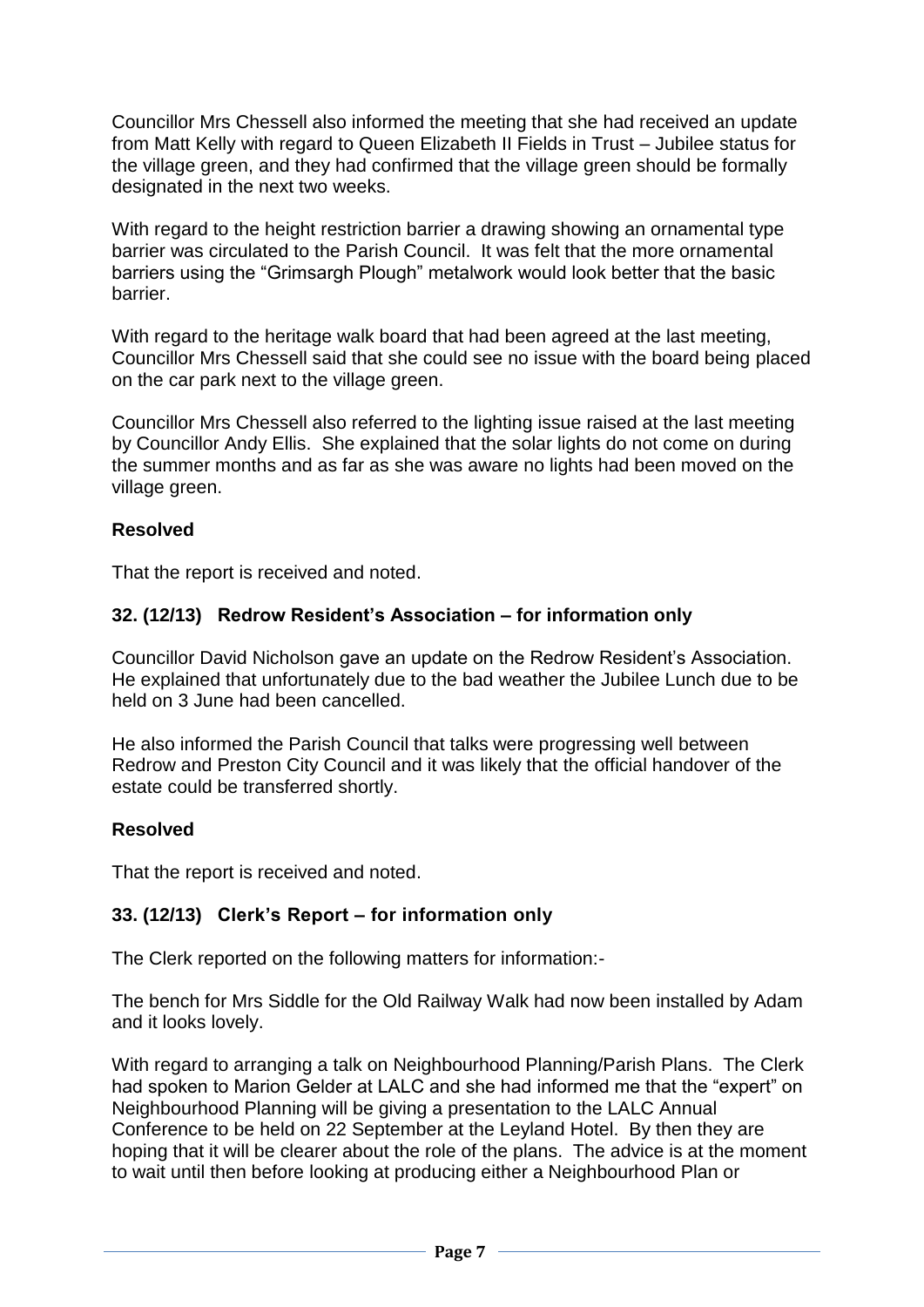Councillor Mrs Chessell also informed the meeting that she had received an update from Matt Kelly with regard to Queen Elizabeth II Fields in Trust – Jubilee status for the village green, and they had confirmed that the village green should be formally designated in the next two weeks.

With regard to the height restriction barrier a drawing showing an ornamental type barrier was circulated to the Parish Council. It was felt that the more ornamental barriers using the "Grimsargh Plough" metalwork would look better that the basic barrier.

With regard to the heritage walk board that had been agreed at the last meeting, Councillor Mrs Chessell said that she could see no issue with the board being placed on the car park next to the village green.

Councillor Mrs Chessell also referred to the lighting issue raised at the last meeting by Councillor Andy Ellis. She explained that the solar lights do not come on during the summer months and as far as she was aware no lights had been moved on the village green.

#### **Resolved**

That the report is received and noted.

#### **32. (12/13) Redrow Resident's Association – for information only**

Councillor David Nicholson gave an update on the Redrow Resident's Association. He explained that unfortunately due to the bad weather the Jubilee Lunch due to be held on 3 June had been cancelled.

He also informed the Parish Council that talks were progressing well between Redrow and Preston City Council and it was likely that the official handover of the estate could be transferred shortly.

#### **Resolved**

That the report is received and noted.

#### **33. (12/13) Clerk's Report – for information only**

The Clerk reported on the following matters for information:-

The bench for Mrs Siddle for the Old Railway Walk had now been installed by Adam and it looks lovely.

With regard to arranging a talk on Neighbourhood Planning/Parish Plans. The Clerk had spoken to Marion Gelder at LALC and she had informed me that the "expert" on Neighbourhood Planning will be giving a presentation to the LALC Annual Conference to be held on 22 September at the Leyland Hotel. By then they are hoping that it will be clearer about the role of the plans. The advice is at the moment to wait until then before looking at producing either a Neighbourhood Plan or